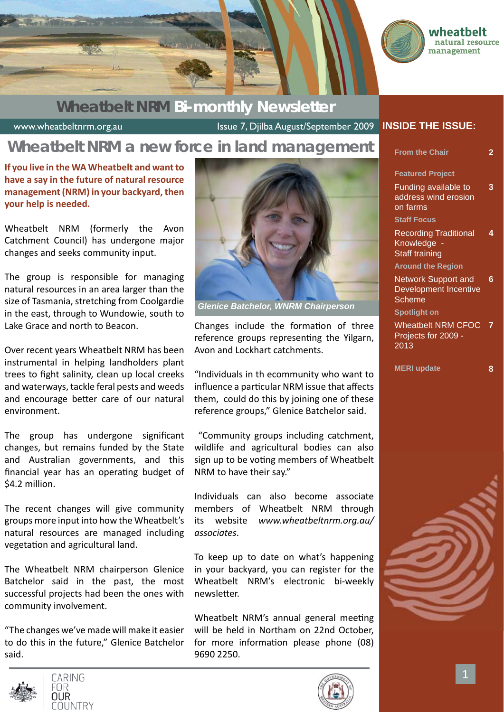

### **Wheatbelt NRM Bi-monthly Newsletter**

www.wheatbeltnrm.org.au Issue 7, Djilba August/September 2009

## **Wheatbelt NRM a new force in land management**

**If you live in the WA Wheatbelt and want to have a say in the future of natural resource management (NRM) in your backyard, then your help is needed.**

Wheatbelt NRM (formerly the Avon Catchment Council) has undergone major changes and seeks community input.

The group is responsible for managing natural resources in an area larger than the size of Tasmania, stretching from Coolgardie in the east, through to Wundowie, south to Lake Grace and north to Beacon.

Over recent years Wheatbelt NRM has been instrumental in helping landholders plant trees to fight salinity, clean up local creeks and waterways, tackle feral pests and weeds and encourage better care of our natural environment.

The group has undergone significant changes, but remains funded by the State and Australian governments, and this financial year has an operating budget of \$4.2 million.

The recent changes will give community groups more input into how the Wheatbelt's natural resources are managed including vegetation and agricultural land.

The Wheatbelt NRM chairperson Glenice Batchelor said in the past, the most successful projects had been the ones with community involvement.

"The changes we've made will make it easier to do this in the future," Glenice Batchelor said.







*Glenice Batchelor, WNRM Chairperson*

Changes include the formation of three reference groups representing the Yilgarn, Avon and Lockhart catchments.

"Individuals in th ecommunity who want to influence a particular NRM issue that affects them, could do this by joining one of these reference groups," Glenice Batchelor said.

 "Community groups including catchment, wildlife and agricultural bodies can also sign up to be voting members of Wheatbelt NRM to have their say."

Individuals can also become associate members of Wheatbelt NRM through its website *www.wheatbeltnrm.org.au/ associates*.

To keep up to date on what's happening in your backyard, you can register for the Wheatbelt NRM's electronic bi-weekly newsletter.

Wheatbelt NRM's annual general meeting will be held in Northam on 22nd October, for more information please phone (08) 9690 2250.

#### **INSIDE THE ISSUE:**

| <b>From the Chair</b>                                                                                                   | 2 |
|-------------------------------------------------------------------------------------------------------------------------|---|
| <b>Featured Project</b><br>Funding available to<br>address wind erosion<br>on farms                                     | 3 |
| <b>Staff Focus</b><br><b>Recording Traditional</b><br>Knowledge -<br><b>Staff training</b>                              | 4 |
| <b>Around the Region</b><br><b>Network Support and</b><br><b>Development Incentive</b><br>Scheme<br><b>Spotlight on</b> | 6 |
| <b>Wheatbelt NRM CFOC</b><br>Projects for 2009 -<br>2013                                                                |   |
| <b>MERI</b> update                                                                                                      | 8 |



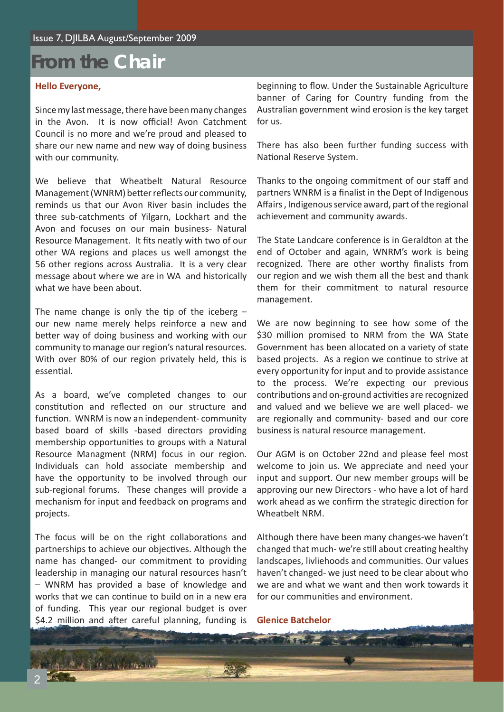# **From the Chair**

#### **Hello Everyone,**

Since my last message, there have been many changes in the Avon. It is now official! Avon Catchment Council is no more and we're proud and pleased to share our new name and new way of doing business with our community.

We believe that Wheatbelt Natural Resource Management (WNRM) better reflects our community, reminds us that our Avon River basin includes the three sub-catchments of Yilgarn, Lockhart and the Avon and focuses on our main business- Natural Resource Management. It fits neatly with two of our other WA regions and places us well amongst the 56 other regions across Australia. It is a very clear message about where we are in WA and historically what we have been about.

The name change is only the tip of the iceberg  $$ our new name merely helps reinforce a new and better way of doing business and working with our community to manage our region's natural resources. With over 80% of our region privately held, this is essential

As a board, we've completed changes to our constitution and reflected on our structure and function. WNRM is now an independent-community based board of skills -based directors providing membership opportunities to groups with a Natural Resource Managment (NRM) focus in our region. Individuals can hold associate membership and have the opportunity to be involved through our sub-regional forums. These changes will provide a mechanism for input and feedback on programs and projects.

The focus will be on the right collaborations and partnerships to achieve our objectives. Although the name has changed- our commitment to providing leadership in managing our natural resources hasn't – WNRM has provided a base of knowledge and works that we can continue to build on in a new era of funding. This year our regional budget is over \$4.2 million and after careful planning, funding is

A PRODUCT ON

beginning to flow. Under the Sustainable Agriculture banner of Caring for Country funding from the Australian government wind erosion is the key target for us.

There has also been further funding success with National Reserve System.

Thanks to the ongoing commitment of our staff and partners WNRM is a finalist in the Dept of Indigenous Affairs, Indigenous service award, part of the regional achievement and community awards.

The State Landcare conference is in Geraldton at the end of October and again, WNRM's work is being recognized. There are other worthy finalists from our region and we wish them all the best and thank them for their commitment to natural resource management.

We are now beginning to see how some of the \$30 million promised to NRM from the WA State Government has been allocated on a variety of state based projects. As a region we continue to strive at every opportunity for input and to provide assistance to the process. We're expecting our previous contributions and on-ground activities are recognized and valued and we believe we are well placed- we are regionally and community- based and our core business is natural resource management.

Our AGM is on October 22nd and please feel most welcome to join us. We appreciate and need your input and support. Our new member groups will be approving our new Directors - who have a lot of hard work ahead as we confirm the strategic direction for Wheatbelt NRM.

Although there have been many changes-we haven't changed that much- we're still about creating healthy landscapes, livliehoods and communities. Our values haven't changed- we just need to be clear about who we are and what we want and then work towards it for our communities and environment.

**Glenice Batchelor**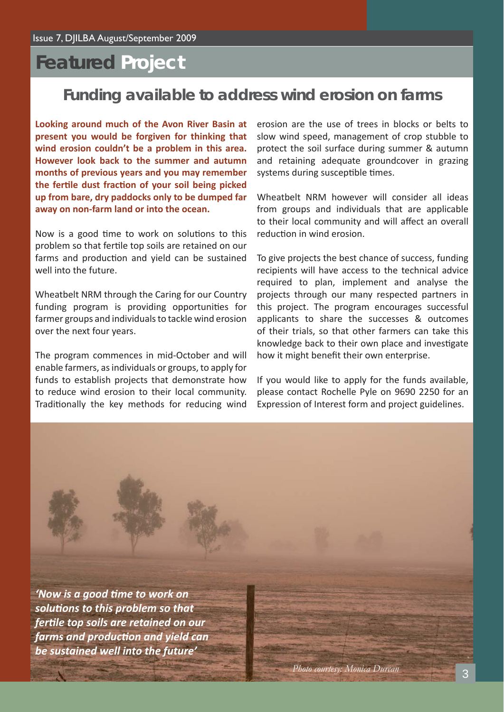# **Featured Project**

### **Funding available to address wind erosion on farms**

**Looking around much of the Avon River Basin at present you would be forgiven for thinking that wind erosion couldn't be a problem in this area. However look back to the summer and autumn months of previous years and you may remember the ferti le dust fracti on of your soil being picked up from bare, dry paddocks only to be dumped far away on non-farm land or into the ocean.**

Now is a good time to work on solutions to this problem so that fertile top soils are retained on our farms and production and yield can be sustained well into the future.

Wheatbelt NRM through the Caring for our Country funding program is providing opportunities for farmer groups and individuals to tackle wind erosion over the next four years.

The program commences in mid-October and will enable farmers, as individuals or groups, to apply for funds to establish projects that demonstrate how to reduce wind erosion to their local community. Traditionally the key methods for reducing wind erosion are the use of trees in blocks or belts to slow wind speed, management of crop stubble to protect the soil surface during summer & autumn and retaining adequate groundcover in grazing systems during susceptible times.

Wheatbelt NRM however will consider all ideas from groups and individuals that are applicable to their local community and will affect an overall reduction in wind erosion.

To give projects the best chance of success, funding recipients will have access to the technical advice required to plan, implement and analyse the projects through our many respected partners in this project. The program encourages successful applicants to share the successes & outcomes of their trials, so that other farmers can take this knowledge back to their own place and investigate how it might benefit their own enterprise.

If you would like to apply for the funds available, please contact Rochelle Pyle on 9690 2250 for an Expression of Interest form and project guidelines.

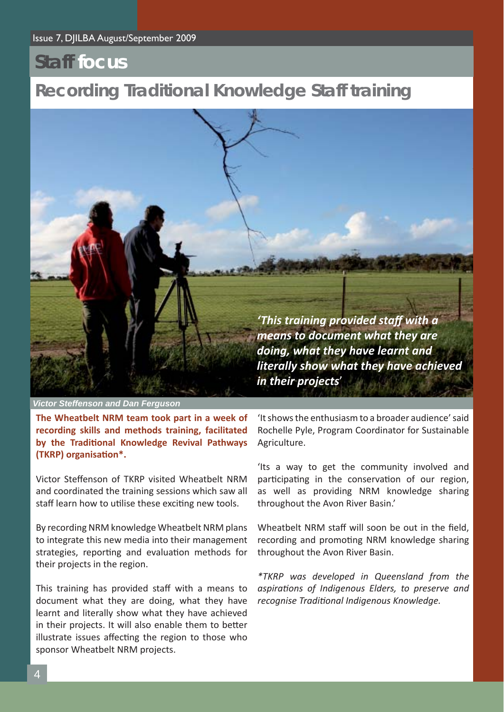## **Staff focus**

## **Recording Traditional Knowledge Staff training**



*Victor Steffenson and Dan Ferguson*

**The Wheatbelt NRM team took part in a week of recording skills and methods training, facilitated by the Traditi onal Knowledge Revival Pathways (TKRP) organisati on\*.**

Victor Steffenson of TKRP visited Wheatbelt NRM and coordinated the training sessions which saw all staff learn how to utilise these exciting new tools.

By recording NRM knowledge Wheatbelt NRM plans to integrate this new media into their management strategies, reporting and evaluation methods for their projects in the region.

This training has provided staff with a means to document what they are doing, what they have learnt and literally show what they have achieved in their projects. It will also enable them to better illustrate issues affecting the region to those who sponsor Wheatbelt NRM projects.

'It shows the enthusiasm to a broader audience' said Rochelle Pyle, Program Coordinator for Sustainable Agriculture.

'Its a way to get the community involved and participating in the conservation of our region, as well as providing NRM knowledge sharing throughout the Avon River Basin.'

Wheatbelt NRM staff will soon be out in the field, recording and promoting NRM knowledge sharing throughout the Avon River Basin.

*\*TKRP was developed in Queensland from the aspirati ons of Indigenous Elders, to preserve and recognise Traditi onal Indigenous Knowledge.*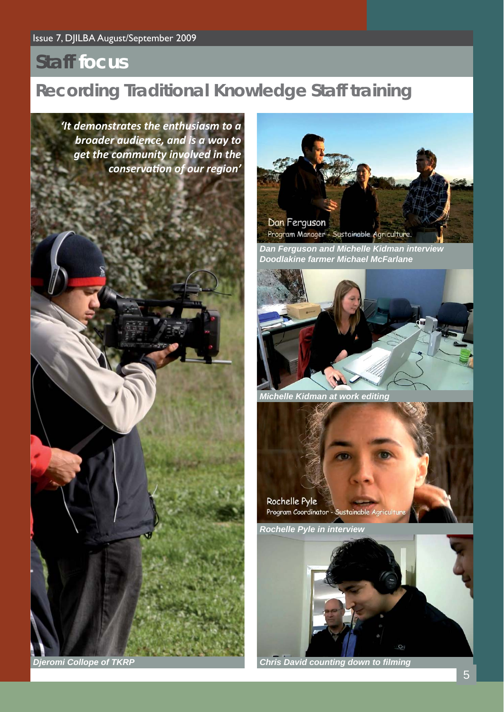# **Staff focus**

# **Recording Traditional Knowledge Staff training**

*'It demonstrates the enthusiasm to a broader audience, and is a way to get the community involved in the conservati on of our region'*





*Dan Ferguson and Michelle Kidman interview Doodlakine farmer Michael McFarlane*



*Michelle Kidman at work editing*

Rochelle Pyle Program Coordinator - Sustainable Agricul

*Rochelle Pyle in interview*



*Djeromi Collope of TKRP Chris David counting down to fi lming*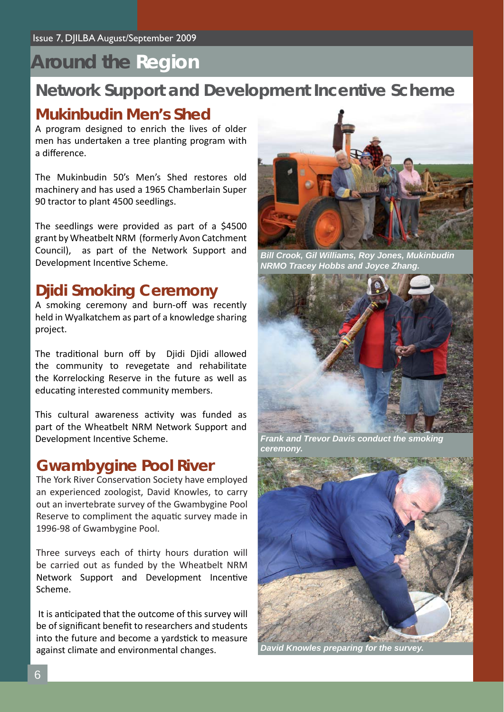# **Around the Region**

### **Network Support and Development Incentive Scheme**

#### **Mukinbudin Men's Shed**

A program designed to enrich the lives of older men has undertaken a tree planting program with a difference.

The Mukinbudin 50's Men's Shed restores old machinery and has used a 1965 Chamberlain Super 90 tractor to plant 4500 seedlings.

The seedlings were provided as part of a \$4500 grant by Wheatbelt NRM (formerly Avon Catchment Council), as part of the Network Support and Development Incentive Scheme.

### **Djidi Smoking Ceremony**

A smoking ceremony and burn-off was recently held in Wyalkatchem as part of a knowledge sharing project.

The traditional burn off by Djidi Djidi allowed the community to revegetate and rehabilitate the Korrelocking Reserve in the future as well as educating interested community members.

This cultural awareness activity was funded as part of the Wheatbelt NRM Network Support and Development Incentive Scheme.

#### **Gwambygine Pool River**

The York River Conservation Society have employed an experienced zoologist, David Knowles, to carry out an invertebrate survey of the Gwambygine Pool Reserve to compliment the aquatic survey made in 1996-98 of Gwambygine Pool.

Three surveys each of thirty hours duration will be carried out as funded by the Wheatbelt NRM Network Support and Development Incentive Scheme.

It is anticipated that the outcome of this survey will be of significant benefit to researchers and students into the future and become a yardstick to measure against climate and environmental changes.



*Bill Crook, Gil Williams, Roy Jones, Mukinbudin NRMO Tracey Hobbs and Joyce Zhang.*



*Frank and Trevor Davis conduct the smoking ceremony.*



*David Knowles preparing for the survey.*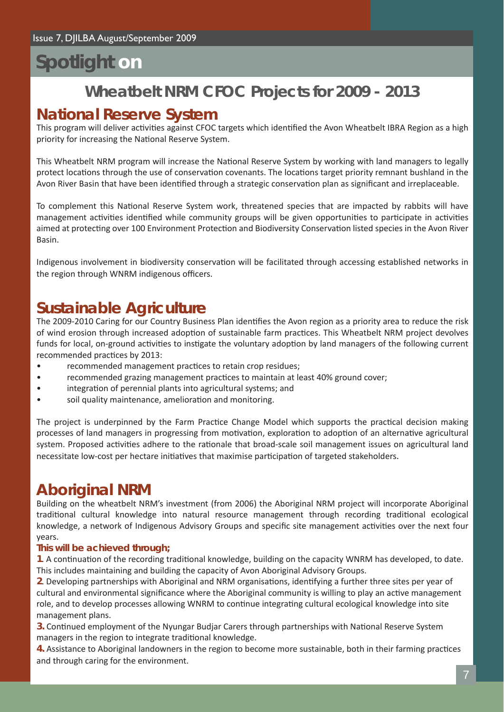# **Spotlight on**

## **Wheatbelt NRM CFOC Projects for 2009 - 2013**

### **National Reserve System**

This program will deliver activities against CFOC targets which identified the Avon Wheatbelt IBRA Region as a high priority for increasing the National Reserve System.

This Wheatbelt NRM program will increase the National Reserve System by working with land managers to legally protect locations through the use of conservation covenants. The locations target priority remnant bushland in the Avon River Basin that have been identified through a strategic conservation plan as significant and irreplaceable.

To complement this National Reserve System work, threatened species that are impacted by rabbits will have management activities identified while community groups will be given opportunities to participate in activities aimed at protecting over 100 Environment Protection and Biodiversity Conservation listed species in the Avon River Basin.

Indigenous involvement in biodiversity conservation will be facilitated through accessing established networks in the region through WNRM indigenous officers.

### **Sustainable Agriculture**

The 2009-2010 Caring for our Country Business Plan identifies the Avon region as a priority area to reduce the risk of wind erosion through increased adoption of sustainable farm practices. This Wheatbelt NRM project devolves funds for local, on-ground activities to instigate the voluntary adoption by land managers of the following current recommended practices by 2013:

- recommended management practices to retain crop residues;
- recommended grazing management practices to maintain at least 40% ground cover;
- integration of perennial plants into agricultural systems; and
- soil quality maintenance, amelioration and monitoring.

The project is underpinned by the Farm Practice Change Model which supports the practical decision making processes of land managers in progressing from motivation, exploration to adoption of an alternative agricultural system. Proposed activities adhere to the rationale that broad-scale soil management issues on agricultural land necessitate low-cost per hectare initiatives that maximise participation of targeted stakeholders.

### **Aboriginal NRM**

Building on the wheatbelt NRM's investment (from 2006) the Aboriginal NRM project will incorporate Aboriginal traditional cultural knowledge into natural resource management through recording traditional ecological knowledge, a network of Indigenous Advisory Groups and specific site management activities over the next four years.

#### **This will be achieved through;**

**1**. A continuation of the recording traditional knowledge, building on the capacity WNRM has developed, to date. This includes maintaining and building the capacity of Avon Aboriginal Advisory Groups.

2. Developing partnerships with Aboriginal and NRM organisations, identifying a further three sites per year of cultural and environmental significance where the Aboriginal community is willing to play an active management role, and to develop processes allowing WNRM to continue integrating cultural ecological knowledge into site management plans.

**3.** Continued employment of the Nyungar Budjar Carers through partnerships with National Reserve System managers in the region to integrate traditional knowledge.

**4.** Assistance to Aboriginal landowners in the region to become more sustainable, both in their farming practices and through caring for the environment.